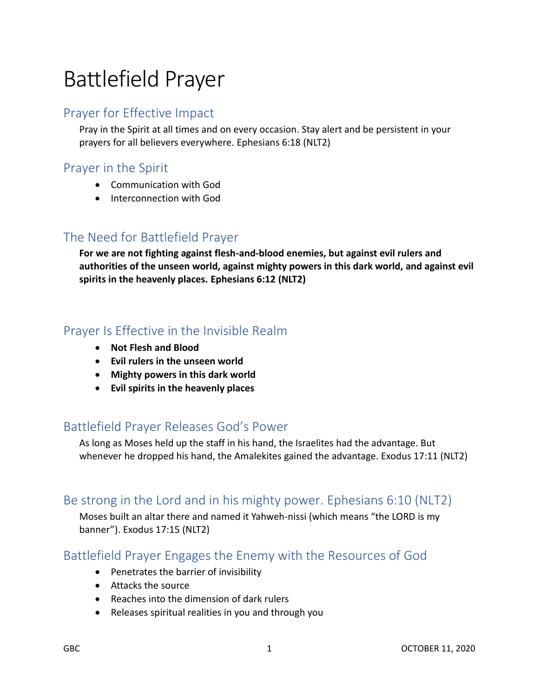# Battlefield Prayer

### Prayer for Effective Impact

Pray in the Spirit at all times and on every occasion. Stay alert and be persistent in your prayers for all believers everywhere. Ephesians 6:18 (NLT2)

### Prayer in the Spirit

- Communication with God
- Interconnection with God

## The Need for Battlefield Prayer

**For we are not fighting against flesh-and-blood enemies, but against evil rulers and authorities of the unseen world, against mighty powers in this dark world, and against evil spirits in the heavenly places. Ephesians 6:12 (NLT2)** 

### Prayer Is Effective in the Invisible Realm

- **Not Flesh and Blood**
- **Evil rulers in the unseen world**
- **Mighty powers in this dark world**
- **Evil spirits in the heavenly places**

#### Battlefield Prayer Releases God's Power

As long as Moses held up the staff in his hand, the Israelites had the advantage. But whenever he dropped his hand, the Amalekites gained the advantage. Exodus 17:11 (NLT2)

#### Be strong in the Lord and in his mighty power. Ephesians 6:10 (NLT2)

Moses built an altar there and named it Yahweh-nissi (which means "the LORD is my banner"). Exodus 17:15 (NLT2)

#### Battlefield Prayer Engages the Enemy with the Resources of God

- Penetrates the barrier of invisibility
- Attacks the source
- Reaches into the dimension of dark rulers
- Releases spiritual realities in you and through you